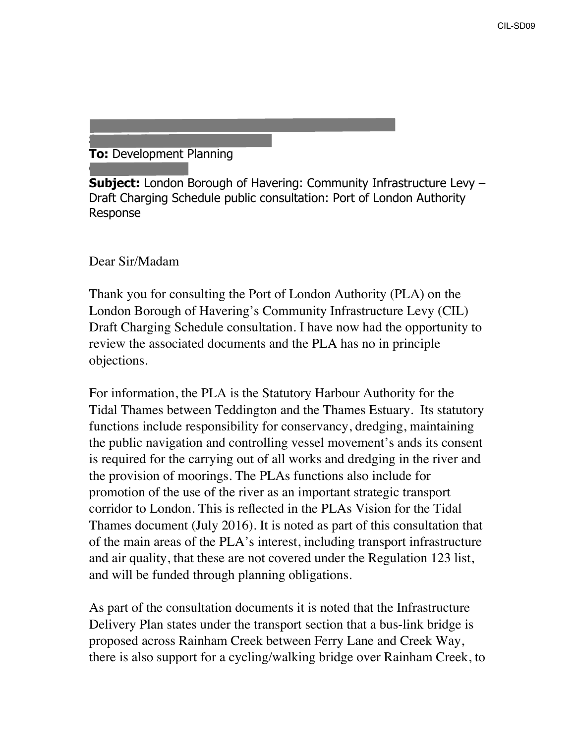## **To:** Development Planning

**Sent:** 25 September 2018 12:42

**Subject:** London Borough of Havering: Community Infrastructure Levy – Draft Charging Schedule public consultation: Port of London Authority Response

**From:** Michael Atkins [\[mailto:Michael.Atkins@pla.co.uk](mailto:Michael.Atkins@pla.co.uk)]

Dear Sir/Madam

**Cc:** Helena Payne

Thank you for consulting the Port of London Authority (PLA) on the London Borough of Havering's Community Infrastructure Levy (CIL) Draft Charging Schedule consultation. I have now had the opportunity to review the associated documents and the PLA has no in principle objections.

For information, the PLA is the Statutory Harbour Authority for the Tidal Thames between Teddington and the Thames Estuary. Its statutory functions include responsibility for conservancy, dredging, maintaining the public navigation and controlling vessel movement's ands its consent is required for the carrying out of all works and dredging in the river and the provision of moorings. The PLAs functions also include for promotion of the use of the river as an important strategic transport corridor to London. This is reflected in the PLAs Vision for the Tidal Thames document (July 2016). It is noted as part of this consultation that of the main areas of the PLA's interest, including transport infrastructure and air quality, that these are not covered under the Regulation 123 list, and will be funded through planning obligations.

As part of the consultation documents it is noted that the Infrastructure Delivery Plan states under the transport section that a bus-link bridge is proposed across Rainham Creek between Ferry Lane and Creek Way, there is also support for a cycling/walking bridge over Rainham Creek, to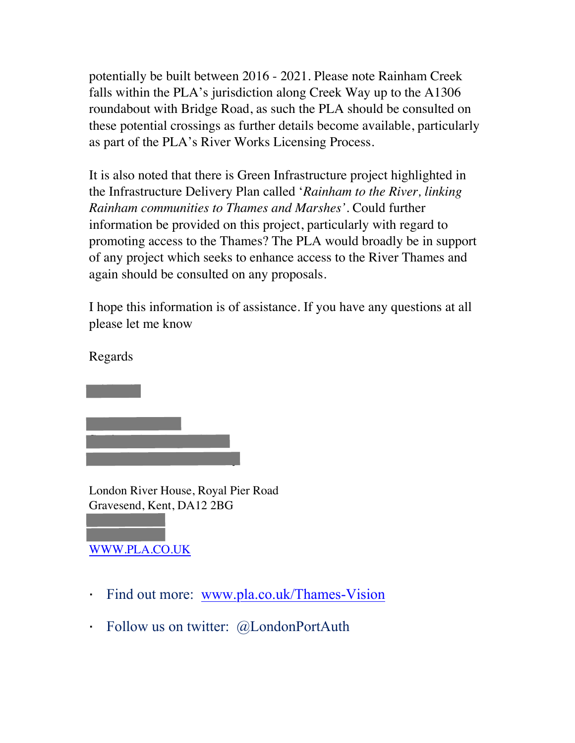potentially be built between 2016 - 2021. Please note Rainham Creek falls within the PLA's jurisdiction along Creek Way up to the A1306 roundabout with Bridge Road, as such the PLA should be consulted on these potential crossings as further details become available, particularly as part of the PLA's River Works Licensing Process.

It is also noted that there is Green Infrastructure project highlighted in the Infrastructure Delivery Plan called '*Rainham to the River, linking Rainham communities to Thames and Marshes'*. Could further information be provided on this project, particularly with regard to promoting access to the Thames? The PLA would broadly be in support of any project which seeks to enhance access to the River Thames and again should be consulted on any proposals.

I hope this information is of assistance. If you have any questions at all please let me know

Regards

Michael

London River House, Royal Pier Road Gravesend, Kent, DA12 2BG

## 07712 247 115 [WWW.PLA.CO.UK](http://www.pla.co.uk/)

01474 562 305

Michael Atkins

Senior Planning Officer

Port of London Authority

- $\blacksquare$ Find out more: [www.pla.co.uk/Thames-Vision](http://www.pla.co.uk/Thames-Vision)
- $\mathbf{r}$ Follow us on twitter: @LondonPortAuth